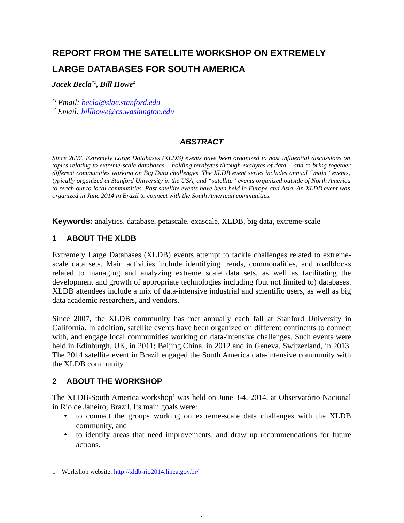# **REPORT FROM THE SATELLITE WORKSHOP ON EXTREMELY LARGE DATABASES FOR SOUTH AMERICA**

*Jacek Becla\*1, Bill Howe<sup>2</sup>*

*\*1 Email: [becla@slac.stanford.edu](mailto:becla@slac.stanford.edu)*

*<sup>2</sup> Email: [billhowe@cs.washington.edu](mailto:billhowe@cs.washington.edu)*

## *ABSTRACT*

*Since 2007, Extremely Large Databases (XLDB) events have been organized to host influential discussions on topics relating to extreme-scale databases – holding terabytes through exabytes of data – and to bring together different communities working on Big Data challenges. The XLDB event series includes annual "main" events, typically organized at Stanford University in the USA, and "satellite" events organized outside of North America to reach out to local communities. Past satellite events have been held in Europe and Asia. An XLDB event was organized in June 2014 in Brazil to connect with the South American communities.*

**Keywords:** analytics, database, petascale, exascale, XLDB, big data, extreme-scale

#### **1 ABOUT THE XLDB**

Extremely Large Databases (XLDB) events attempt to tackle challenges related to extremescale data sets. Main activities include identifying trends, commonalities, and roadblocks related to managing and analyzing extreme scale data sets, as well as facilitating the development and growth of appropriate technologies including (but not limited to) databases. XLDB attendees include a mix of data-intensive industrial and scientific users, as well as big data academic researchers, and vendors.

Since 2007, the XLDB community has met annually each fall at Stanford University in California. In addition, satellite events have been organized on different continents to connect with, and engage local communities working on data-intensive challenges. Such events were held in Edinburgh, UK, in 2011; Beijing,China, in 2012 and in Geneva, Switzerland, in 2013. The 2014 satellite event in Brazil engaged the South America data-intensive community with the XLDB community.

#### **2 ABOUT THE WORKSHOP**

The XLDB-South America workshop<sup>[1](#page-0-0)</sup> was held on June 3-4, 2014, at Observatório Nacional in Rio de Janeiro, Brazil. Its main goals were:

- to connect the groups working on extreme-scale data challenges with the XLDB community, and
- to identify areas that need improvements, and draw up recommendations for future actions.

<span id="page-0-0"></span><sup>1</sup> Workshop website:<http://xldb-rio2014.linea.gov.br/>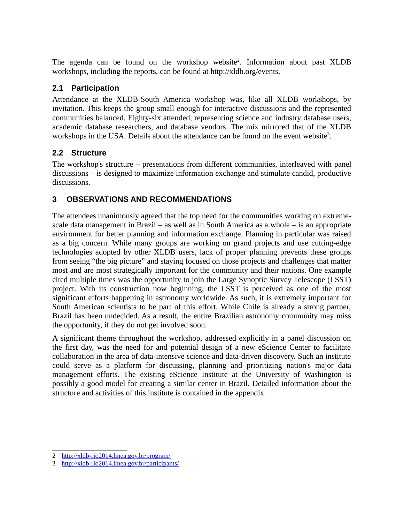The agenda can be found on the workshop website<sup>[2](#page-1-0)</sup>. Information about past XLDB workshops, including the reports, can be found at http://xldb.org/events.

## **2.1 Participation**

Attendance at the XLDB-South America workshop was, like all XLDB workshops, by invitation. This keeps the group small enough for interactive discussions and the represented communities balanced. Eighty-six attended, representing science and industry database users, academic database researchers, and database vendors. The mix mirrored that of the XLDB workshops in the USA. Details about the attendance can be found on the event website<sup>[3](#page-1-1)</sup>.

# **2.2 Structure**

The workshop's structure – presentations from different communities, interleaved with panel discussions – is designed to maximize information exchange and stimulate candid, productive discussions.

# **3 OBSERVATIONS AND RECOMMENDATIONS**

The attendees unanimously agreed that the top need for the communities working on extremescale data management in Brazil – as well as in South America as a whole – is an appropriate environment for better planning and information exchange. Planning in particular was raised as a big concern. While many groups are working on grand projects and use cutting-edge technologies adopted by other XLDB users, lack of proper planning prevents these groups from seeing "the big picture" and staying focused on those projects and challenges that matter most and are most strategically important for the community and their nations. One example cited multiple times was the opportunity to join the Large Synoptic Survey Telescope (LSST) project. With its construction now beginning, the LSST is perceived as one of the most significant efforts happening in astronomy worldwide. As such, it is extremely important for South American scientists to be part of this effort. While Chile is already a strong partner, Brazil has been undecided. As a result, the entire Brazilian astronomy community may miss the opportunity, if they do not get involved soon.

A significant theme throughout the workshop, addressed explicitly in a panel discussion on the first day, was the need for and potential design of a new eScience Center to facilitate collaboration in the area of data-intensive science and data-driven discovery. Such an institute could serve as a platform for discussing, planning and prioritizing nation's major data management efforts. The existing eScience Institute at the University of Washington is possibly a good model for creating a similar center in Brazil. Detailed information about the structure and activities of this institute is contained in the appendix.

<span id="page-1-0"></span><sup>2</sup> <http://xldb-rio2014.linea.gov.br/program/>

<span id="page-1-1"></span><sup>3</sup> <http://xldb-rio2014.linea.gov.br/participants/>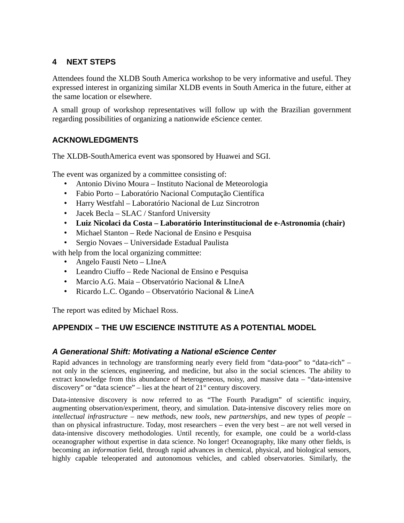## **4 NEXT STEPS**

Attendees found the XLDB South America workshop to be very informative and useful. They expressed interest in organizing similar XLDB events in South America in the future, either at the same location or elsewhere.

A small group of workshop representatives will follow up with the Brazilian government regarding possibilities of organizing a nationwide eScience center.

## **ACKNOWLEDGMENTS**

The XLDB-SouthAmerica event was sponsored by Huawei and SGI.

The event was organized by a committee consisting of:

- Antonio Divino Moura Instituto Nacional de Meteorologia
- Fabio Porto Laboratório Nacional Computação Científica
- Harry Westfahl Laboratório Nacional de Luz Sincrotron
- Jacek Becla SLAC / Stanford University
- **Luiz Nicolaci da Costa Laboratório Interinstitucional de e-Astronomia (chair)**
- Michael Stanton Rede Nacional de Ensino e Pesquisa
- Sergio Novaes Universidade Estadual Paulista

with help from the local organizing committee:

- Angelo Fausti Neto LIneA
- Leandro Ciuffo Rede Nacional de Ensino e Pesquisa
- Marcio A.G. Maia Observatório Nacional & LIneA
- Ricardo L.C. Ogando Observatório Nacional & LineA

The report was edited by Michael Ross.

#### **APPENDIX – THE UW ESCIENCE INSTITUTE AS A POTENTIAL MODEL**

#### *A Generational Shift: Motivating a National eScience Center*

Rapid advances in technology are transforming nearly every field from "data-poor" to "data-rich" – not only in the sciences, engineering, and medicine, but also in the social sciences. The ability to extract knowledge from this abundance of heterogeneous, noisy, and massive data – "data-intensive discovery" or "data science" – lies at the heart of  $21<sup>st</sup>$  century discovery.

Data-intensive discovery is now referred to as "The Fourth Paradigm" of scientific inquiry, augmenting observation/experiment, theory, and simulation. Data-intensive discovery relies more on *intellectual infrastructure* – new *methods*, new *tools*, new *partnerships*, and new types of *people –* than on physical infrastructure. Today, most researchers – even the very best – are not well versed in data-intensive discovery methodologies. Until recently, for example, one could be a world-class oceanographer without expertise in data science. No longer! Oceanography, like many other fields, is becoming an *information* field, through rapid advances in chemical, physical, and biological sensors, highly capable teleoperated and autonomous vehicles, and cabled observatories. Similarly, the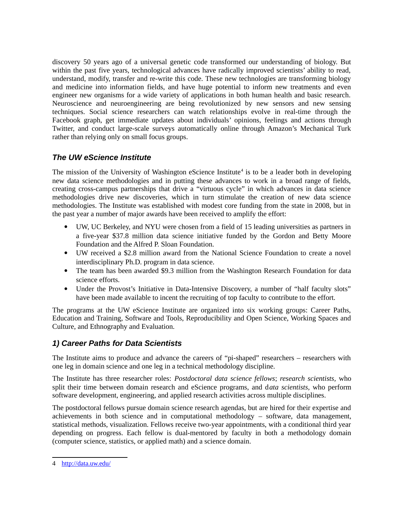discovery 50 years ago of a universal genetic code transformed our understanding of biology. But within the past five years, technological advances have radically improved scientists' ability to read, understand, modify, transfer and re-write this code. These new technologies are transforming biology and medicine into information fields, and have huge potential to inform new treatments and even engineer new organisms for a wide variety of applications in both human health and basic research. Neuroscience and neuroengineering are being revolutionized by new sensors and new sensing techniques. Social science researchers can watch relationships evolve in real-time through the Facebook graph, get immediate updates about individuals' opinions, feelings and actions through Twitter, and conduct large-scale surveys automatically online through Amazon's Mechanical Turk rather than relying only on small focus groups.

#### *The UW eScience Institute*

The mission of the University of Washington eScience Institute<sup>[4](#page-3-0)</sup> is to be a leader both in developing new data science methodologies and in putting these advances to work in a broad range of fields, creating cross-campus partnerships that drive a "virtuous cycle" in which advances in data science methodologies drive new discoveries, which in turn stimulate the creation of new data science methodologies. The Institute was established with modest core funding from the state in 2008, but in the past year a number of major awards have been received to amplify the effort:

- UW, UC Berkeley, and NYU were chosen from a field of 15 leading universities as partners in a five-year \$37.8 million data science initiative funded by the Gordon and Betty Moore Foundation and the Alfred P. Sloan Foundation.
- UW received a \$2.8 million award from the National Science Foundation to create a novel interdisciplinary Ph.D. program in data science.
- The team has been awarded \$9.3 million from the Washington Research Foundation for data science efforts.
- Under the Provost's Initiative in Data-Intensive Discovery, a number of "half faculty slots" have been made available to incent the recruiting of top faculty to contribute to the effort.

The programs at the UW eScience Institute are organized into six working groups: Career Paths, Education and Training, Software and Tools, Reproducibility and Open Science, Working Spaces and Culture, and Ethnography and Evaluation.

# *1) Career Paths for Data Scientists*

The Institute aims to produce and advance the careers of "pi-shaped" researchers – researchers with one leg in domain science and one leg in a technical methodology discipline.

The Institute has three researcher roles: *Postdoctoral data science fellows*; *research scientists,* who split their time between domain research and eScience programs, and d*ata scientists,* who perform software development, engineering, and applied research activities across multiple disciplines.

The postdoctoral fellows pursue domain science research agendas, but are hired for their expertise and achievements in both science and in computational methodology – software, data management, statistical methods, visualization. Fellows receive two-year appointments, with a conditional third year depending on progress. Each fellow is dual-mentored by faculty in both a methodology domain (computer science, statistics, or applied math) and a science domain.

<span id="page-3-0"></span><sup>4</sup> <http://data.uw.edu/>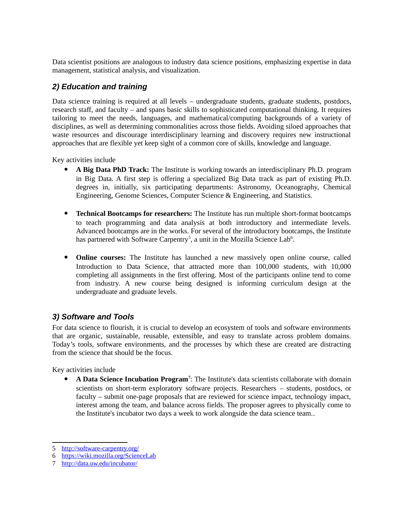Data scientist positions are analogous to industry data science positions, emphasizing expertise in data management, statistical analysis, and visualization.

## *2) Education and training*

Data science training is required at all levels – undergraduate students, graduate students, postdocs, research staff, and faculty – and spans basic skills to sophisticated computational thinking. It requires tailoring to meet the needs, languages, and mathematical/computing backgrounds of a variety of disciplines, as well as determining commonalities across those fields. Avoiding siloed approaches that waste resources and discourage interdisciplinary learning and discovery requires new instructional approaches that are flexible yet keep sight of a common core of skills, knowledge and language.

Key activities include

- **A Big Data PhD Track:** The Institute is working towards an interdisciplinary Ph.D. program in Big Data. A first step is offering a specialized Big Data track as part of existing Ph.D. degrees in, initially, six participating departments: Astronomy, Oceanography, Chemical Engineering, Genome Sciences, Computer Science & Engineering, and Statistics.
- **Technical Bootcamps for researchers:** The Institute has run multiple short-format bootcamps to teach programming and data analysis at both introductory and intermediate levels. Advanced bootcamps are in the works. For several of the introductory bootcamps, the Institute has partnered with Software Carpentry<sup>[5](#page-4-0)</sup>, a unit in the Mozilla Science Lab<sup>[6](#page-4-1)</sup>.
- **Online courses:** The Institute has launched a new massively open online course, called Introduction to Data Science, that attracted more than 100,000 students, with 10,000 completing all assignments in the first offering. Most of the participants online tend to come from industry. A new course being designed is informing curriculum design at the undergraduate and graduate levels.

#### *3) Software and Tools*

For data science to flourish, it is crucial to develop an ecosystem of tools and software environments that are organic, sustainable, reusable, extensible, and easy to translate across problem domains. Today's tools, software environments, and the processes by which these are created are distracting from the science that should be the focus.

Key activities include

 **A Data Science Incubation Program[7](#page-4-2)** : The Institute's data scientists collaborate with domain scientists on short-term exploratory software projects. Researchers – students, postdocs, or faculty – submit one-page proposals that are reviewed for science impact, technology impact, interest among the team, and balance across fields. The proposer agrees to physically come to the Institute's incubator two days a week to work alongside the data science team..

<span id="page-4-0"></span><sup>5</sup> <http://software-carpentry.org/>

<span id="page-4-1"></span><sup>6</sup> <https://wiki.mozilla.org/ScienceLab>

<span id="page-4-2"></span><sup>7</sup> <http://data.uw.edu/incubator/>